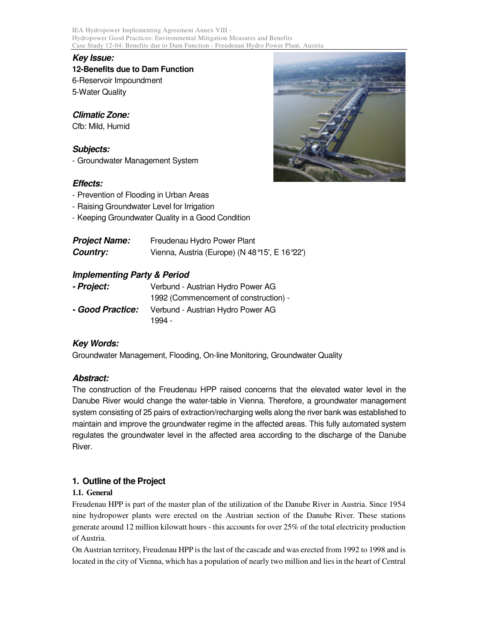IEA Hydropower Implementing Agreement Annex VIII - Hydropower Good Practices: Environmental Mitigation Measures and Benefits Case Study 12-04: Benefits due to Dam Function - Freudenau Hydro Power Plant, Austria

## **Key Issue:**

**12-Benefits due to Dam Function**  6-Reservoir Impoundment 5-Water Quality

**Climatic Zone:**  Cfb: Mild, Humid

# **Subjects:**

- Groundwater Management System

# **Effects:**

- Prevention of Flooding in Urban Areas
- Raising Groundwater Level for Irrigation
- Keeping Groundwater Quality in a Good Condition

| <b>Project Name:</b> | Freudenau Hydro Power Plant                   |
|----------------------|-----------------------------------------------|
| <b>Country:</b>      | Vienna, Austria (Europe) (N 48°15', E 16°22') |

# **Implementing Party & Period**

| - Project:       | Verbund - Austrian Hydro Power AG     |
|------------------|---------------------------------------|
|                  | 1992 (Commencement of construction) - |
| - Good Practice: | Verbund - Austrian Hydro Power AG     |
|                  | 1994 -                                |

# **Key Words:**

Groundwater Management, Flooding, On-line Monitoring, Groundwater Quality

## **Abstract:**

The construction of the Freudenau HPP raised concerns that the elevated water level in the Danube River would change the water-table in Vienna. Therefore, a groundwater management system consisting of 25 pairs of extraction/recharging wells along the river bank was established to maintain and improve the groundwater regime in the affected areas. This fully automated system regulates the groundwater level in the affected area according to the discharge of the Danube River.

# **1. Outline of the Project**

## **1.1. General**

Freudenau HPP is part of the master plan of the utilization of the Danube River in Austria. Since 1954 nine hydropower plants were erected on the Austrian section of the Danube River. These stations generate around 12 million kilowatt hours - this accounts for over 25% of the total electricity production of Austria.

On Austrian territory, Freudenau HPP is the last of the cascade and was erected from 1992 to 1998 and is located in the city of Vienna, which has a population of nearly two million and lies in the heart of Central

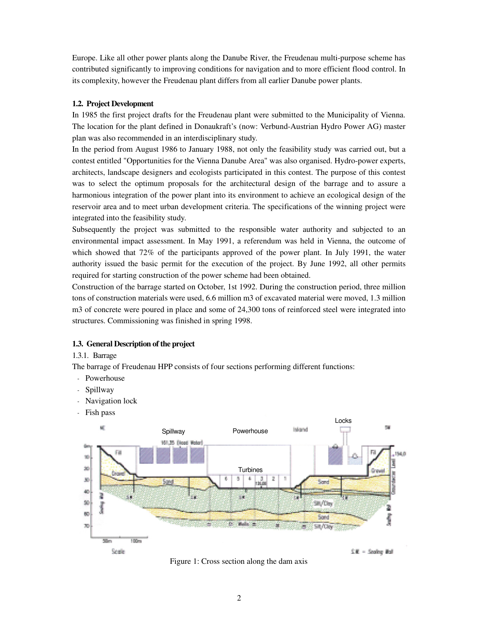Europe. Like all other power plants along the Danube River, the Freudenau multi-purpose scheme has contributed significantly to improving conditions for navigation and to more efficient flood control. In its complexity, however the Freudenau plant differs from all earlier Danube power plants.

#### **1.2. Project Development**

In 1985 the first project drafts for the Freudenau plant were submitted to the Municipality of Vienna. The location for the plant defined in Donaukraft's (now: Verbund-Austrian Hydro Power AG) master plan was also recommended in an interdisciplinary study.

In the period from August 1986 to January 1988, not only the feasibility study was carried out, but a contest entitled "Opportunities for the Vienna Danube Area" was also organised. Hydro-power experts, architects, landscape designers and ecologists participated in this contest. The purpose of this contest was to select the optimum proposals for the architectural design of the barrage and to assure a harmonious integration of the power plant into its environment to achieve an ecological design of the reservoir area and to meet urban development criteria. The specifications of the winning project were integrated into the feasibility study.

Subsequently the project was submitted to the responsible water authority and subjected to an environmental impact assessment. In May 1991, a referendum was held in Vienna, the outcome of which showed that 72% of the participants approved of the power plant. In July 1991, the water authority issued the basic permit for the execution of the project. By June 1992, all other permits required for starting construction of the power scheme had been obtained.

Construction of the barrage started on October, 1st 1992. During the construction period, three million tons of construction materials were used, 6.6 million m3 of excavated material were moved, 1.3 million m3 of concrete were poured in place and some of 24,300 tons of reinforced steel were integrated into structures. Commissioning was finished in spring 1998.

#### **1.3. General Description of the project**

#### 1.3.1. Barrage

The barrage of Freudenau HPP consists of four sections performing different functions:

- Powerhouse
- Spillway
- Navigation lock
- Fish pass



Figure 1: Cross section along the dam axis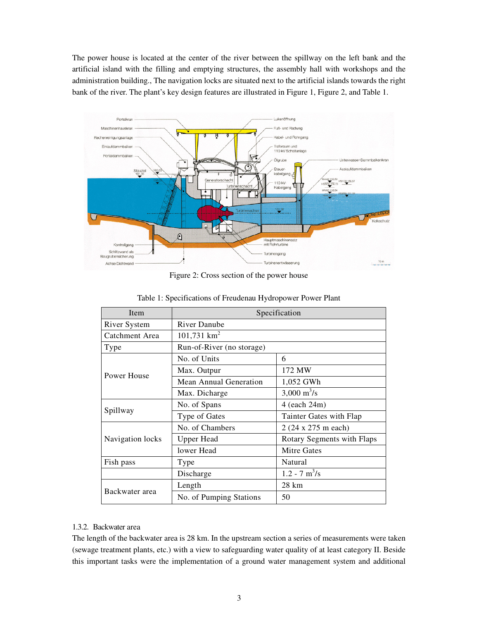The power house is located at the center of the river between the spillway on the left bank and the artificial island with the filling and emptying structures, the assembly hall with workshops and the administration building., The navigation locks are situated next to the artificial islands towards the right bank of the river. The plant's key design features are illustrated in Figure 1, Figure 2, and Table 1.



Figure 2: Cross section of the power house

| Item             | Specification             |                              |  |
|------------------|---------------------------|------------------------------|--|
| River System     | <b>River Danube</b>       |                              |  |
| Catchment Area   | $101,731$ km <sup>2</sup> |                              |  |
| Type             | Run-of-River (no storage) |                              |  |
| Power House      | No. of Units              | 6                            |  |
|                  | Max. Outpur               | 172 MW                       |  |
|                  | Mean Annual Generation    | 1,052 GWh                    |  |
|                  | Max. Dicharge             | $3,000 \text{ m}^3/\text{s}$ |  |
| Spillway         | No. of Spans              | 4 (each 24m)                 |  |
|                  | Type of Gates             | Tainter Gates with Flap      |  |
| Navigation locks | No. of Chambers           | 2 (24 x 275 m each)          |  |
|                  | <b>Upper Head</b>         | Rotary Segments with Flaps   |  |
|                  | lower Head                | <b>Mitre Gates</b>           |  |
| Fish pass        | Type                      | Natural                      |  |
|                  | Discharge                 | $1.2 - 7$ m <sup>3</sup> /s  |  |
| Backwater area   | Length                    | 28 km                        |  |
|                  | No. of Pumping Stations   | 50                           |  |

#### Table 1: Specifications of Freudenau Hydropower Power Plant

#### 1.3.2. Backwater area

The length of the backwater area is 28 km. In the upstream section a series of measurements were taken (sewage treatment plants, etc.) with a view to safeguarding water quality of at least category II. Beside this important tasks were the implementation of a ground water management system and additional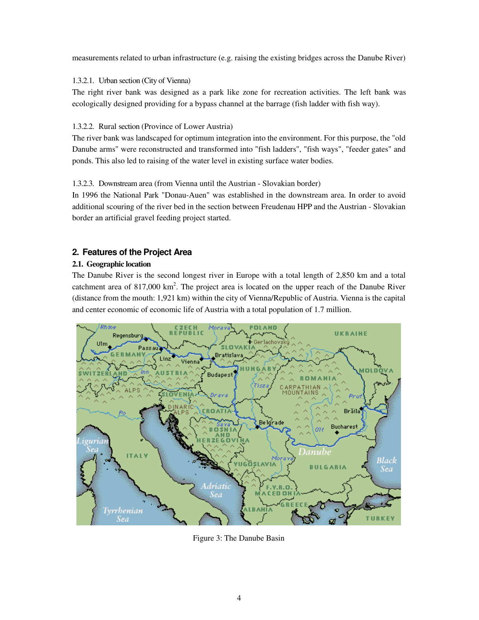measurements related to urban infrastructure (e.g. raising the existing bridges across the Danube River)

### 1.3.2.1. Urban section (City of Vienna)

The right river bank was designed as a park like zone for recreation activities. The left bank was ecologically designed providing for a bypass channel at the barrage (fish ladder with fish way).

### 1.3.2.2. Rural section (Province of Lower Austria)

The river bank was landscaped for optimum integration into the environment. For this purpose, the "old Danube arms" were reconstructed and transformed into "fish ladders", "fish ways", "feeder gates" and ponds. This also led to raising of the water level in existing surface water bodies.

### 1.3.2.3. Downstream area (from Vienna until the Austrian - Slovakian border)

In 1996 the National Park "Donau-Auen" was established in the downstream area. In order to avoid additional scouring of the river bed in the section between Freudenau HPP and the Austrian - Slovakian border an artificial gravel feeding project started.

# **2. Features of the Project Area**

### **2.1. Geographic location**

The Danube River is the second longest river in Europe with a total length of 2,850 km and a total catchment area of  $817,000 \text{ km}^2$ . The project area is located on the upper reach of the Danube River (distance from the mouth: 1,921 km) within the city of Vienna/Republic of Austria. Vienna is the capital and center economic of economic life of Austria with a total population of 1.7 million.



Figure 3: The Danube Basin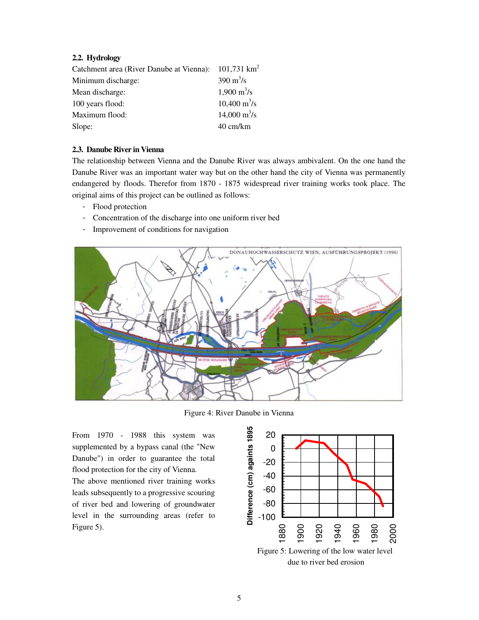### **2.2. Hydrology**

| Catchment area (River Danube at Vienna): 101,731 km <sup>2</sup> |                               |
|------------------------------------------------------------------|-------------------------------|
| Minimum discharge:                                               | $390 \text{ m}^3/\text{s}$    |
| Mean discharge:                                                  | $1,900 \text{ m}^3/\text{s}$  |
| 100 years flood:                                                 | $10,400 \text{ m}^3\text{/s}$ |
| Maximum flood:                                                   | $14,000 \text{ m}^3\text{/s}$ |
| Slope:                                                           | 40 cm/km                      |

#### **2.3. Danube River in Vienna**

The relationship between Vienna and the Danube River was always ambivalent. On the one hand the Danube River was an important water way but on the other hand the city of Vienna was permanently endangered by floods. Therefor from 1870 - 1875 widespread river training works took place. The original aims of this project can be outlined as follows:

- Flood protection
- Concentration of the discharge into one uniform river bed
- Improvement of conditions for navigation



Figure 4: River Danube in Vienna

From 1970 - 1988 this system was supplemented by a bypass canal (the "New Danube") in order to guarantee the total flood protection for the city of Vienna.

The above mentioned river training works leads subsequently to a progressive scouring of river bed and lowering of groundwater level in the surrounding areas (refer to Figure 5).

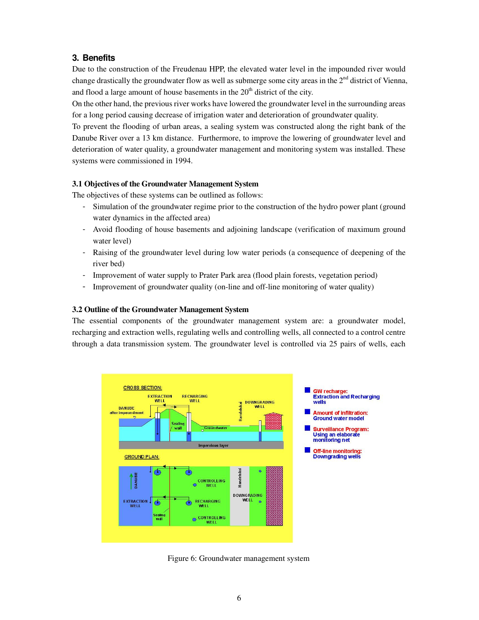# **3. Benefits**

Due to the construction of the Freudenau HPP, the elevated water level in the impounded river would change drastically the groundwater flow as well as submerge some city areas in the  $2<sup>nd</sup>$  district of Vienna, and flood a large amount of house basements in the  $20<sup>th</sup>$  district of the city.

On the other hand, the previous river works have lowered the groundwater level in the surrounding areas for a long period causing decrease of irrigation water and deterioration of groundwater quality.

To prevent the flooding of urban areas, a sealing system was constructed along the right bank of the Danube River over a 13 km distance. Furthermore, to improve the lowering of groundwater level and deterioration of water quality, a groundwater management and monitoring system was installed. These systems were commissioned in 1994.

#### **3.1 Objectives of the Groundwater Management System**

The objectives of these systems can be outlined as follows:

- Simulation of the groundwater regime prior to the construction of the hydro power plant (ground water dynamics in the affected area)
- Avoid flooding of house basements and adjoining landscape (verification of maximum ground water level)
- Raising of the groundwater level during low water periods (a consequence of deepening of the river bed)
- Improvement of water supply to Prater Park area (flood plain forests, vegetation period)
- Improvement of groundwater quality (on-line and off-line monitoring of water quality)

#### **3.2 Outline of the Groundwater Management System**

The essential components of the groundwater management system are: a groundwater model, recharging and extraction wells, regulating wells and controlling wells, all connected to a control centre through a data transmission system. The groundwater level is controlled via 25 pairs of wells, each



Figure 6: Groundwater management system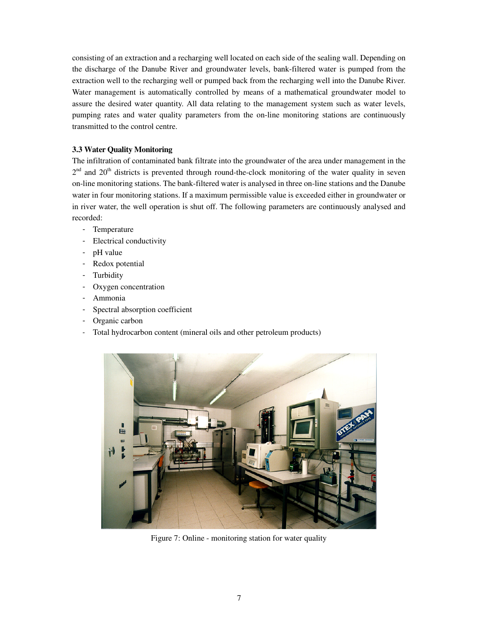consisting of an extraction and a recharging well located on each side of the sealing wall. Depending on the discharge of the Danube River and groundwater levels, bank-filtered water is pumped from the extraction well to the recharging well or pumped back from the recharging well into the Danube River. Water management is automatically controlled by means of a mathematical groundwater model to assure the desired water quantity. All data relating to the management system such as water levels, pumping rates and water quality parameters from the on-line monitoring stations are continuously transmitted to the control centre.

#### **3.3 Water Quality Monitoring**

The infiltration of contaminated bank filtrate into the groundwater of the area under management in the  $2<sup>nd</sup>$  and  $20<sup>th</sup>$  districts is prevented through round-the-clock monitoring of the water quality in seven on-line monitoring stations. The bank-filtered water is analysed in three on-line stations and the Danube water in four monitoring stations. If a maximum permissible value is exceeded either in groundwater or in river water, the well operation is shut off. The following parameters are continuously analysed and recorded:

- Temperature
- Electrical conductivity
- pH value
- Redox potential
- **Turbidity**
- Oxygen concentration
- Ammonia
- Spectral absorption coefficient
- Organic carbon
- Total hydrocarbon content (mineral oils and other petroleum products)



Figure 7: Online - monitoring station for water quality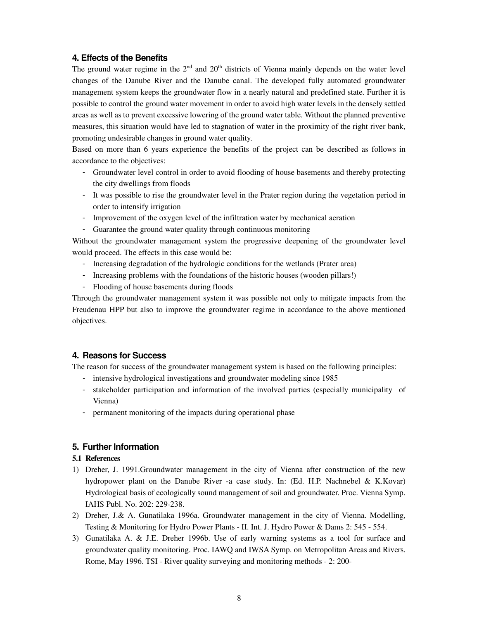## **4. Effects of the Benefits**

The ground water regime in the  $2<sup>nd</sup>$  and  $20<sup>th</sup>$  districts of Vienna mainly depends on the water level changes of the Danube River and the Danube canal. The developed fully automated groundwater management system keeps the groundwater flow in a nearly natural and predefined state. Further it is possible to control the ground water movement in order to avoid high water levels in the densely settled areas as well as to prevent excessive lowering of the ground water table. Without the planned preventive measures, this situation would have led to stagnation of water in the proximity of the right river bank, promoting undesirable changes in ground water quality.

Based on more than 6 years experience the benefits of the project can be described as follows in accordance to the objectives:

- Groundwater level control in order to avoid flooding of house basements and thereby protecting the city dwellings from floods
- It was possible to rise the groundwater level in the Prater region during the vegetation period in order to intensify irrigation
- Improvement of the oxygen level of the infiltration water by mechanical aeration
- Guarantee the ground water quality through continuous monitoring

Without the groundwater management system the progressive deepening of the groundwater level would proceed. The effects in this case would be:

- Increasing degradation of the hydrologic conditions for the wetlands (Prater area)
- Increasing problems with the foundations of the historic houses (wooden pillars!)
- Flooding of house basements during floods

Through the groundwater management system it was possible not only to mitigate impacts from the Freudenau HPP but also to improve the groundwater regime in accordance to the above mentioned objectives.

## **4. Reasons for Success**

The reason for success of the groundwater management system is based on the following principles:

- intensive hydrological investigations and groundwater modeling since 1985
- stakeholder participation and information of the involved parties (especially municipality of Vienna)
- permanent monitoring of the impacts during operational phase

## **5. Further Information**

## **5.1 References**

- 1) Dreher, J. 1991.Groundwater management in the city of Vienna after construction of the new hydropower plant on the Danube River -a case study. In: (Ed. H.P. Nachnebel & K.Kovar) Hydrological basis of ecologically sound management of soil and groundwater. Proc. Vienna Symp. IAHS Publ. No. 202: 229-238.
- 2) Dreher, J.& A. Gunatilaka 1996a. Groundwater management in the city of Vienna. Modelling, Testing & Monitoring for Hydro Power Plants - II. Int. J. Hydro Power & Dams 2: 545 - 554.
- 3) Gunatilaka A. & J.E. Dreher 1996b. Use of early warning systems as a tool for surface and groundwater quality monitoring. Proc. IAWQ and IWSA Symp. on Metropolitan Areas and Rivers. Rome, May 1996. TSI - River quality surveying and monitoring methods - 2: 200-